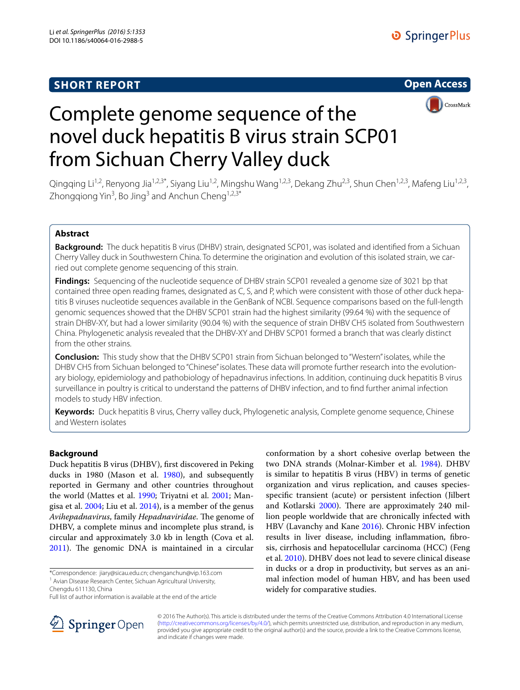## **SHORT REPORT**





# Complete genome sequence of the novel duck hepatitis B virus strain SCP01 from Sichuan Cherry Valley duck

Qingqing Li<sup>1,2</sup>, Renyong Jia<sup>1,2,3\*</sup>, Siyang Liu<sup>1,2</sup>, Mingshu Wang<sup>1,2,3</sup>, Dekang Zhu<sup>2,3</sup>, Shun Chen<sup>1,2,3</sup>, Mafeng Liu<sup>1,2,3</sup>, Zhongqiong Yin<sup>3</sup>, Bo Jing<sup>3</sup> and Anchun Cheng<sup>1,2,3\*</sup>

## **Abstract**

**Background:** The duck hepatitis B virus (DHBV) strain, designated SCP01, was isolated and identified from a Sichuan Cherry Valley duck in Southwestern China. To determine the origination and evolution of this isolated strain, we carried out complete genome sequencing of this strain.

**Findings:** Sequencing of the nucleotide sequence of DHBV strain SCP01 revealed a genome size of 3021 bp that contained three open reading frames, designated as C, S, and P, which were consistent with those of other duck hepatitis B viruses nucleotide sequences available in the GenBank of NCBI. Sequence comparisons based on the full-length genomic sequences showed that the DHBV SCP01 strain had the highest similarity (99.64 %) with the sequence of strain DHBV-XY, but had a lower similarity (90.04 %) with the sequence of strain DHBV CH5 isolated from Southwestern China. Phylogenetic analysis revealed that the DHBV-XY and DHBV SCP01 formed a branch that was clearly distinct from the other strains.

**Conclusion:** This study show that the DHBV SCP01 strain from Sichuan belonged to "Western" isolates, while the DHBV CH5 from Sichuan belonged to "Chinese" isolates. These data will promote further research into the evolutionary biology, epidemiology and pathobiology of hepadnavirus infections. In addition, continuing duck hepatitis B virus surveillance in poultry is critical to understand the patterns of DHBV infection, and to find further animal infection models to study HBV infection.

**Keywords:** Duck hepatitis B virus, Cherry valley duck, Phylogenetic analysis, Complete genome sequence, Chinese and Western isolates

## **Background**

Duck hepatitis B virus (DHBV), first discovered in Peking ducks in 1980 (Mason et al. [1980](#page-5-0)), and subsequently reported in Germany and other countries throughout the world (Mattes et al. [1990;](#page-5-1) Triyatni et al. [2001](#page-5-2); Mangisa et al. [2004;](#page-5-3) Liu et al. [2014\)](#page-4-0), is a member of the genus *Avihepadnavirus*, family *Hepadnaviridae*. The genome of DHBV, a complete minus and incomplete plus strand, is circular and approximately 3.0 kb in length (Cova et al. [2011](#page-4-1)). The genomic DNA is maintained in a circular

\*Correspondence: jiary@sicau.edu.cn; chenganchun@vip.163.com

Chengdu 611130, China

conformation by a short cohesive overlap between the two DNA strands (Molnar-Kimber et al. [1984](#page-5-4)). DHBV is similar to hepatitis B virus (HBV) in terms of genetic organization and virus replication, and causes speciesspecific transient (acute) or persistent infection (Jilbert and Kotlarski [2000](#page-4-2)). There are approximately 240 million people worldwide that are chronically infected with HBV (Lavanchy and Kane [2016](#page-4-3)). Chronic HBV infection results in liver disease, including inflammation, fibrosis, cirrhosis and hepatocellular carcinoma (HCC) (Feng et al. [2010\)](#page-4-4). DHBV does not lead to severe clinical disease in ducks or a drop in productivity, but serves as an animal infection model of human HBV, and has been used widely for comparative studies.



© 2016 The Author(s). This article is distributed under the terms of the Creative Commons Attribution 4.0 International License [\(http://creativecommons.org/licenses/by/4.0/\)](http://creativecommons.org/licenses/by/4.0/), which permits unrestricted use, distribution, and reproduction in any medium, provided you give appropriate credit to the original author(s) and the source, provide a link to the Creative Commons license, and indicate if changes were made.

<sup>&</sup>lt;sup>1</sup> Avian Disease Research Center, Sichuan Agricultural University,

Full list of author information is available at the end of the article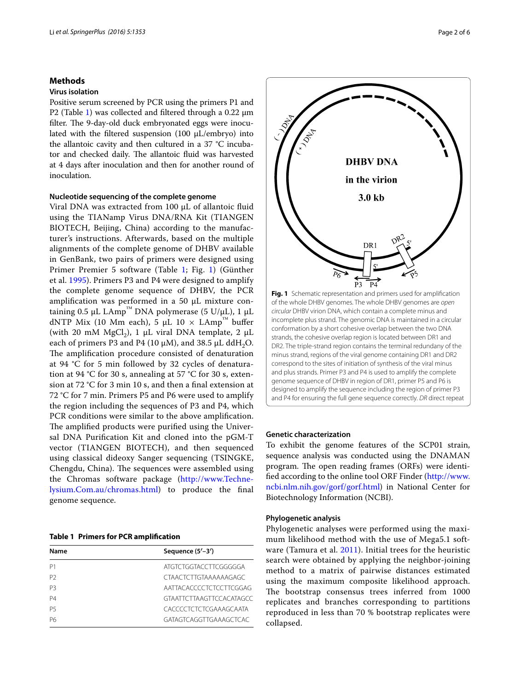## **Methods**

## **Virus isolation**

Positive serum screened by PCR using the primers P1 and P2 (Table [1\)](#page-1-0) was collected and filtered through a 0.22 um filter. The 9-day-old duck embryonated eggs were inoculated with the filtered suspension (100 μL/embryo) into the allantoic cavity and then cultured in a 37 °C incubator and checked daily. The allantoic fluid was harvested at 4 days after inoculation and then for another round of inoculation.

## **Nucleotide sequencing of the complete genome**

Viral DNA was extracted from 100 µL of allantoic fluid using the TIANamp Virus DNA/RNA Kit (TIANGEN BIOTECH, Beijing, China) according to the manufacturer's instructions. Afterwards, based on the multiple alignments of the complete genome of DHBV available in GenBank, two pairs of primers were designed using Primer Premier 5 software (Table [1;](#page-1-0) Fig. [1](#page-1-1)) (Günther et al. [1995](#page-4-5)). Primers P3 and P4 were designed to amplify the complete genome sequence of DHBV, the PCR amplification was performed in a 50 μL mixture containing 0.5 μL LAmp<sup>™</sup> DNA polymerase (5 U/μL), 1 μL dNTP Mix (10 Mm each), 5 μL 10  $\times$  LAmp<sup>™</sup> buffer (with 20 mM MgCl<sub>2</sub>), 1  $\mu$ L viral DNA template, 2  $\mu$ L each of primers P3 and P4 (10  $\mu$ M), and 38.5  $\mu$ L ddH<sub>2</sub>O. The amplification procedure consisted of denaturation at 94 °C for 5 min followed by 32 cycles of denaturation at 94 °C for 30 s, annealing at 57 °C for 30 s, extension at 72 °C for 3 min 10 s, and then a final extension at 72 °C for 7 min. Primers P5 and P6 were used to amplify the region including the sequences of P3 and P4, which PCR conditions were similar to the above amplification. The amplified products were purified using the Universal DNA Purification Kit and cloned into the pGM-T vector (TIANGEN BIOTECH), and then sequenced using classical dideoxy Sanger sequencing (TSINGKE, Chengdu, China). The sequences were assembled using the Chromas software package ([http://www.Techne](http://www.Technelysium.Com.au/chromas.html)[lysium.Com.au/chromas.html](http://www.Technelysium.Com.au/chromas.html)) to produce the final genome sequence.

<span id="page-1-0"></span>**Table 1 Primers for PCR amplification**

| Name           | Sequence (5'-3')                |
|----------------|---------------------------------|
| P1             | ATGTCTGGTACCTTCGGGGGA           |
| P <sub>2</sub> | <b>CTAACTCTTGTAAAAAAGAGC</b>    |
| P3             | AATTACACCCCTCTCCTTCGGAG         |
| <b>P4</b>      | <b>GTAATTCTTAAGTTCCACATAGCC</b> |
| P5             | CACCCCTCTCTCGAAAGCAATA          |
| P6             | GATAGTCAGGTTGAAAGCTCAC          |



#### <span id="page-1-1"></span>**Genetic characterization**

To exhibit the genome features of the SCP01 strain, sequence analysis was conducted using the DNAMAN program. The open reading frames (ORFs) were identified according to the online tool ORF Finder [\(http://www.](http://www.ncbi.nlm.nih.gov/gorf/gorf.html) [ncbi.nlm.nih.gov/gorf/gorf.html](http://www.ncbi.nlm.nih.gov/gorf/gorf.html)) in National Center for Biotechnology Information (NCBI).

## **Phylogenetic analysis**

Phylogenetic analyses were performed using the maximum likelihood method with the use of Mega5.1 software (Tamura et al. [2011](#page-5-5)). Initial trees for the heuristic search were obtained by applying the neighbor-joining method to a matrix of pairwise distances estimated using the maximum composite likelihood approach. The bootstrap consensus trees inferred from 1000 replicates and branches corresponding to partitions reproduced in less than 70 % bootstrap replicates were collapsed.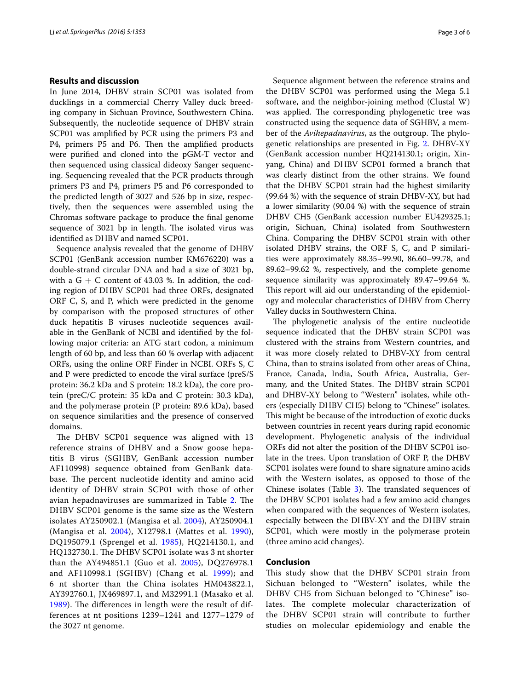## **Results and discussion**

In June 2014, DHBV strain SCP01 was isolated from ducklings in a commercial Cherry Valley duck breeding company in Sichuan Province, Southwestern China. Subsequently, the nucleotide sequence of DHBV strain SCP01 was amplified by PCR using the primers P3 and P4, primers P5 and P6. Then the amplified products were purified and cloned into the pGM-T vector and then sequenced using classical dideoxy Sanger sequencing. Sequencing revealed that the PCR products through primers P3 and P4, primers P5 and P6 corresponded to the predicted length of 3027 and 526 bp in size, respectively, then the sequences were assembled using the Chromas software package to produce the final genome sequence of 3021 bp in length. The isolated virus was identified as DHBV and named SCP01.

Sequence analysis revealed that the genome of DHBV SCP01 (GenBank accession number KM676220) was a double-strand circular DNA and had a size of 3021 bp, with a  $G + C$  content of 43.03 %. In addition, the coding region of DHBV SCP01 had three ORFs, designated ORF C, S, and P, which were predicted in the genome by comparison with the proposed structures of other duck hepatitis B viruses nucleotide sequences available in the GenBank of NCBI and identified by the following major criteria: an ATG start codon, a minimum length of 60 bp, and less than 60 % overlap with adjacent ORFs, using the online ORF Finder in NCBI. ORFs S, C and P were predicted to encode the viral surface (preS/S protein: 36.2 kDa and S protein: 18.2 kDa), the core protein (preC/C protein: 35 kDa and C protein: 30.3 kDa), and the polymerase protein (P protein: 89.6 kDa), based on sequence similarities and the presence of conserved domains.

The DHBV SCP01 sequence was aligned with 13 reference strains of DHBV and a Snow goose hepatitis B virus (SGHBV, GenBank accession number AF110998) sequence obtained from GenBank database. The percent nucleotide identity and amino acid identity of DHBV strain SCP01 with those of other avian hepadnaviruses are summarized in Table [2.](#page-3-0) The DHBV SCP01 genome is the same size as the Western isolates AY250902.1 (Mangisa et al. [2004](#page-5-3)), AY250904.1 (Mangisa et al. [2004](#page-5-3)), X12798.1 (Mattes et al. [1990\)](#page-5-1), DQ195079.1 (Sprengel et al. [1985](#page-5-6)), HQ214130.1, and HQ132730.1. The DHBV SCP01 isolate was 3 nt shorter than the AY494851.1 (Guo et al. [2005](#page-4-6)), DQ276978.1 and AF110998.1 (SGHBV) (Chang et al. [1999](#page-4-7)); and 6 nt shorter than the China isolates HM043822.1, AY392760.1, JX469897.1, and M32991.1 (Masako et al. [1989\)](#page-5-7). The differences in length were the result of differences at nt positions 1239–1241 and 1277–1279 of the 3027 nt genome.

Sequence alignment between the reference strains and the DHBV SCP01 was performed using the Mega 5.1 software, and the neighbor-joining method (Clustal W) was applied. The corresponding phylogenetic tree was constructed using the sequence data of SGHBV, a member of the *Avihepadnavirus*, as the outgroup. The phylogenetic relationships are presented in Fig. [2](#page-3-1). DHBV-XY (GenBank accession number HQ214130.1; origin, Xinyang, China) and DHBV SCP01 formed a branch that was clearly distinct from the other strains. We found that the DHBV SCP01 strain had the highest similarity (99.64 %) with the sequence of strain DHBV-XY, but had a lower similarity (90.04 %) with the sequence of strain DHBV CH5 (GenBank accession number EU429325.1; origin, Sichuan, China) isolated from Southwestern China. Comparing the DHBV SCP01 strain with other isolated DHBV strains, the ORF S, C, and P similarities were approximately 88.35–99.90, 86.60–99.78, and 89.62–99.62 %, respectively, and the complete genome sequence similarity was approximately 89.47–99.64 %. This report will aid our understanding of the epidemiology and molecular characteristics of DHBV from Cherry Valley ducks in Southwestern China.

The phylogenetic analysis of the entire nucleotide sequence indicated that the DHBV strain SCP01 was clustered with the strains from Western countries, and it was more closely related to DHBV-XY from central China, than to strains isolated from other areas of China, France, Canada, India, South Africa, Australia, Germany, and the United States. The DHBV strain SCP01 and DHBV-XY belong to "Western" isolates, while others (especially DHBV CH5) belong to "Chinese" isolates. This might be because of the introduction of exotic ducks between countries in recent years during rapid economic development. Phylogenetic analysis of the individual ORFs did not alter the position of the DHBV SCP01 isolate in the trees. Upon translation of ORF P, the DHBV SCP01 isolates were found to share signature amino acids with the Western isolates, as opposed to those of the Chinese isolates (Table [3\)](#page-4-8). The translated sequences of the DHBV SCP01 isolates had a few amino acid changes when compared with the sequences of Western isolates, especially between the DHBV-XY and the DHBV strain SCP01, which were mostly in the polymerase protein (three amino acid changes).

## **Conclusion**

This study show that the DHBV SCP01 strain from Sichuan belonged to "Western" isolates, while the DHBV CH5 from Sichuan belonged to "Chinese" isolates. The complete molecular characterization of the DHBV SCP01 strain will contribute to further studies on molecular epidemiology and enable the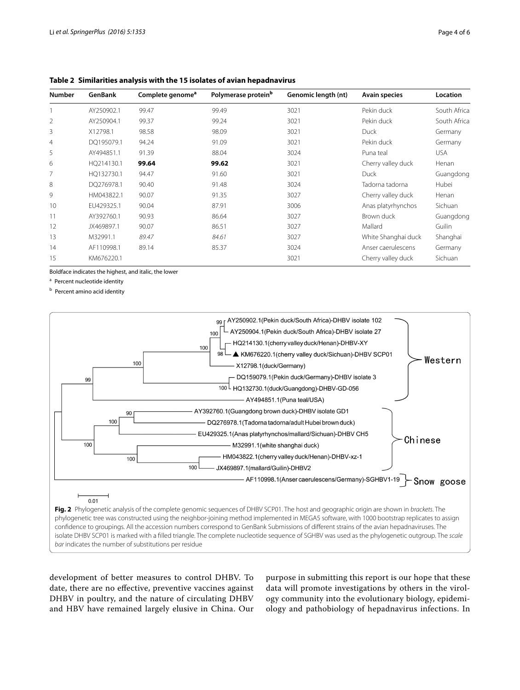| <b>Number</b>  | GenBank    | Complete genome <sup>a</sup> | Polymerase protein <sup>b</sup> | Genomic length (nt)        | <b>Avain species</b><br>Pekin duck | Location<br>South Africa |
|----------------|------------|------------------------------|---------------------------------|----------------------------|------------------------------------|--------------------------|
|                | AY250902.1 | 99.47                        | 99.49                           | 3021                       |                                    |                          |
| 2              | AY250904.1 | 99.37                        | 99.24                           | 3021                       | Pekin duck                         | South Africa             |
| 3              | X12798.1   | 98.58                        | 98.09                           | 3021                       | <b>Duck</b>                        | Germany                  |
| $\overline{4}$ | DO195079.1 | 94.24                        | 91.09<br>3021                   |                            | Pekin duck                         | Germany                  |
| 5              | AY494851.1 | 91.39                        | 88.04<br>3024                   |                            | Puna teal                          | <b>USA</b>               |
| 6              | HQ214130.1 | 99.64                        | 99.62                           | 3021                       | Cherry valley duck                 | Henan                    |
| 7              | HQ132730.1 | 94.47                        | 91.60                           | 3021                       | <b>Duck</b>                        | Guangdong                |
| 8              | DO276978.1 | 90.40                        | 91.48                           | 3024                       | Tadorna tadorna                    | Hubei                    |
| 9              | HM043822.1 | 90.07                        | 91.35                           | 3027                       | Cherry valley duck                 | Henan                    |
| 10             | EU429325.1 | 90.04                        | 87.91                           | Anas platyrhynchos<br>3006 |                                    | Sichuan                  |
| 11             | AY392760.1 | 90.93                        | 86.64                           | 3027                       | Brown duck                         | Guangdong                |
| 12             | JX469897.1 | 90.07                        | 86.51                           | 3027                       | Mallard                            | Guilin                   |
| 13             | M32991.1   | 89.47                        | 84.61                           | 3027                       | White Shanghai duck                | Shanghai                 |
| 14             | AF110998.1 | 89.14                        | 85.37                           | 3024                       | Anser caerulescens                 | Germany                  |
| 15             | KM676220.1 |                              |                                 | 3021                       | Cherry valley duck                 | Sichuan                  |

<span id="page-3-0"></span>**Table 2 Similarities analysis with the 15 isolates of avian hepadnavirus**

Boldface indicates the highest, and italic, the lower

<sup>a</sup> Percent nucleotide identity

**b** Percent amino acid identity



<span id="page-3-1"></span>development of better measures to control DHBV. To date, there are no effective, preventive vaccines against DHBV in poultry, and the nature of circulating DHBV and HBV have remained largely elusive in China. Our purpose in submitting this report is our hope that these data will promote investigations by others in the virology community into the evolutionary biology, epidemiology and pathobiology of hepadnavirus infections. In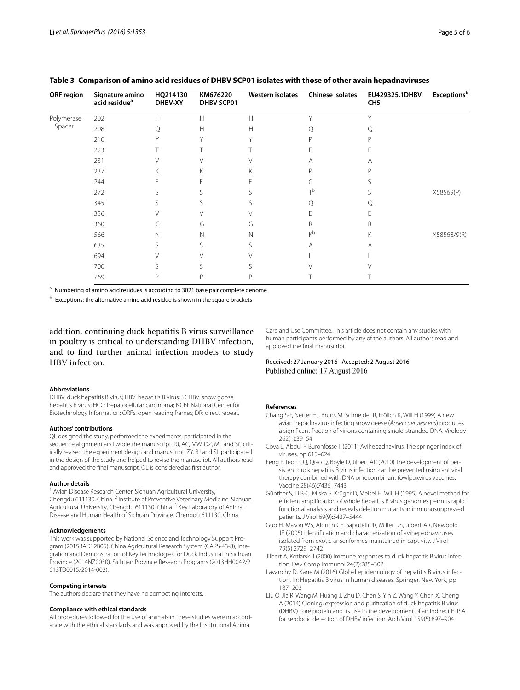| <b>ORF</b> region    | Signature amino<br>acid residue <sup>a</sup> | HQ214130<br>DHBV-XY                                               | KM676220<br><b>DHBV SCP01</b> | Western isolates | <b>Chinese isolates</b> | EU429325.1DHBV<br>CH <sub>5</sub> | <b>Exceptions</b> <sup>b</sup> |
|----------------------|----------------------------------------------|-------------------------------------------------------------------|-------------------------------|------------------|-------------------------|-----------------------------------|--------------------------------|
| Polymerase<br>Spacer | 202                                          | $\mathsf{H}% _{\mathsf{H}}^{\ast}=\mathsf{H}_{\mathsf{H}}^{\ast}$ | H                             | Н                | $\checkmark$            |                                   |                                |
|                      | 208                                          | Q                                                                 | H                             | Н                |                         |                                   |                                |
|                      | 210                                          |                                                                   | $\checkmark$                  |                  |                         |                                   |                                |
|                      | 223                                          |                                                                   |                               |                  |                         | ٣                                 |                                |
|                      | 231                                          |                                                                   |                               |                  | Α                       | A                                 |                                |
|                      | 237                                          | Κ                                                                 | Κ                             | K.               | n                       |                                   |                                |
|                      | 244                                          |                                                                   |                               |                  |                         |                                   |                                |
|                      | 272                                          |                                                                   |                               |                  | тh                      |                                   | X58569(P)                      |
|                      | 345                                          | S.                                                                |                               |                  |                         |                                   |                                |
|                      | 356                                          |                                                                   |                               |                  |                         |                                   |                                |
|                      | 360                                          | G                                                                 | G                             | G                | R                       | R                                 |                                |
|                      | 566                                          | $\mathbb N$                                                       | N                             | N                | $K^b$                   | Κ                                 | X58568/9(R)                    |
|                      | 635                                          | ╰                                                                 |                               |                  | Α                       | A                                 |                                |
|                      | 694                                          |                                                                   |                               |                  |                         |                                   |                                |
|                      | 700                                          |                                                                   |                               |                  |                         |                                   |                                |
|                      | 769                                          | P                                                                 | P                             |                  |                         |                                   |                                |

<span id="page-4-8"></span>**Table 3 Comparison of amino acid residues of DHBV SCP01 isolates with those of other avain hepadnaviruses**

<sup>a</sup> Numbering of amino acid residues is according to 3021 base pair complete genome

b Exceptions: the alternative amino acid residue is shown in the square brackets

addition, continuing duck hepatitis B virus surveillance in poultry is critical to understanding DHBV infection, and to find further animal infection models to study HBV infection.

#### **Abbreviations**

DHBV: duck hepatitis B virus; HBV: hepatitis B virus; SGHBV: snow goose hepatitis B virus; HCC: hepatocellular carcinoma; NCBI: National Center for Biotechnology Information; ORFs: open reading frames; DR: direct repeat.

#### **Authors' contributions**

QL designed the study, performed the experiments, participated in the sequence alignment and wrote the manuscript. RJ, AC, MW, DZ, ML and SC critically revised the experiment design and manuscript. ZY, BJ and SL participated in the design of the study and helped to revise the manuscript. All authors read and approved the final manuscript. QL is considered as first author.

#### **Author details**

<sup>1</sup> Avian Disease Research Center, Sichuan Agricultural University, Chengdu 611130, China. <sup>2</sup> Institute of Preventive Veterinary Medicine, Sichuan Agricultural University, Chengdu 611130, China.<sup>3</sup> Key Laboratory of Animal Disease and Human Health of Sichuan Province, Chengdu 611130, China.

#### **Acknowledgements**

This work was supported by National Science and Technology Support Program (2015BAD12B05), China Agricultural Research System (CARS-43-8), Integration and Demonstration of Key Technologies for Duck Industrial in Sichuan Province (2014NZ0030), Sichuan Province Research Programs (2013HH0042/2 013TD0015/2014-002).

#### **Competing interests**

The authors declare that they have no competing interests.

## **Compliance with ethical standards**

All procedures followed for the use of animals in these studies were in accordance with the ethical standards and was approved by the Institutional Animal

Care and Use Committee. This article does not contain any studies with human participants performed by any of the authors. All authors read and approved the final manuscript.

## Received: 27 January 2016 Accepted: 2 August 2016 Published online: 17 August 2016

#### **References**

- <span id="page-4-7"></span>Chang S-F, Netter HJ, Bruns M, Schneider R, Frölich K, Will H (1999) A new avian hepadnavirus infecting snow geese (*Anser caerulescens*) produces a significant fraction of virions containing single-stranded DNA. Virology 262(1):39–54
- <span id="page-4-1"></span>Cova L, Abdul F, Buronfosse T (2011) Avihepadnavirus. The springer index of viruses, pp 615–624
- <span id="page-4-4"></span>Feng F, Teoh CQ, Qiao Q, Boyle D, Jilbert AR (2010) The development of persistent duck hepatitis B virus infection can be prevented using antiviral therapy combined with DNA or recombinant fowlpoxvirus vaccines. Vaccine 28(46):7436–7443
- <span id="page-4-5"></span>Günther S, Li B-C, Miska S, Krüger D, Meisel H, Will H (1995) A novel method for efficient amplification of whole hepatitis B virus genomes permits rapid functional analysis and reveals deletion mutants in immunosuppressed patients. J Virol 69(9):5437–5444
- <span id="page-4-6"></span>Guo H, Mason WS, Aldrich CE, Saputelli JR, Miller DS, Jilbert AR, Newbold JE (2005) Identification and characterization of avihepadnaviruses isolated from exotic anseriformes maintained in captivity. J Virol 79(5):2729–2742
- <span id="page-4-2"></span>Jilbert A, Kotlarski I (2000) Immune responses to duck hepatitis B virus infection. Dev Comp Immunol 24(2):285–302
- <span id="page-4-3"></span>Lavanchy D, Kane M (2016) Global epidemiology of hepatitis B virus infection. In: Hepatitis B virus in human diseases. Springer, New York, pp 187–203
- <span id="page-4-0"></span>Liu Q, Jia R, Wang M, Huang J, Zhu D, Chen S, Yin Z, Wang Y, Chen X, Cheng A (2014) Cloning, expression and purification of duck hepatitis B virus (DHBV) core protein and its use in the development of an indirect ELISA for serologic detection of DHBV infection. Arch Virol 159(5):897–904